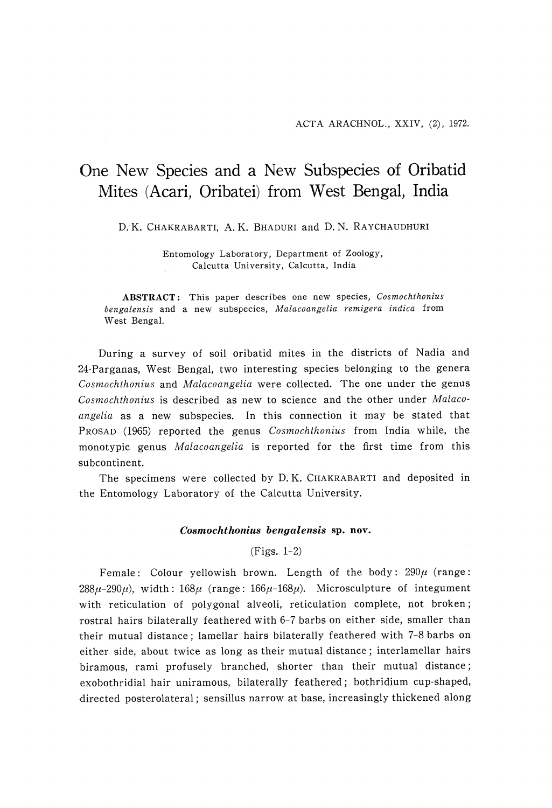# One New Species and a New Subspecies of Oribatid Mites (Acari, Oribatei) from west Bengal, India

#### D. K. CHAKRABARTI, A. K. BHADURI and D. N. RAYCHAUDHURI

 Entomology Laboratory, Department of Zoology, Calcutta University, Calcutta, India

ABSTRACT: This paper describes one new species, Cosmochthonius bengalensis and a new subspecies, Malacoangelia remigera indica from West Bengal.

 During a survey of soil oribatid mites in the districts of Nadia and 24-Parganas, West Bengal, two interesting species belonging to the genera Cosmochthonius and Malacoangelia were collected. The one under the genus •Cosmochthonius is described as new to science and the other under Malacoangelia as a new subspecies. In this connection it may be stated that PROSAD (1965) reported the genus Cosmochthonius from India while, the monotypic genus Malacoangelia is reported for the first time from this subcontinent.

 The specimens were collected by D. K. CHAKRABARTI and deposited in the Entomology Laboratory of the Calcutta University.

## Cosmochthonius bengalensis sp. nov.

#### (Figs. 1-2)

Female: Colour yellowish brown. Length of the body:  $290\mu$  (range:  $288\mu - 290\mu$ , width:  $168\mu$  (range:  $166\mu - 168\mu$ ). Microsculpture of integument with reticulation of polygonal alveoli, reticulation complete, not broken; rostral hairs bilaterally feathered with 6-7 barbs on either side, smaller than their mutual distance; lamellar hairs bilaterally feathered with 7-8 barbs on either side, about twice as long as their mutual distance ; interlamellar hairs biramous, rami profusely branched, shorter than their mutual distance; exobothridial hair uniramous, bilaterally feathered; bothridium cup-shaped, directed posterolateral ; sensillus narrow at base, increasingly thickened along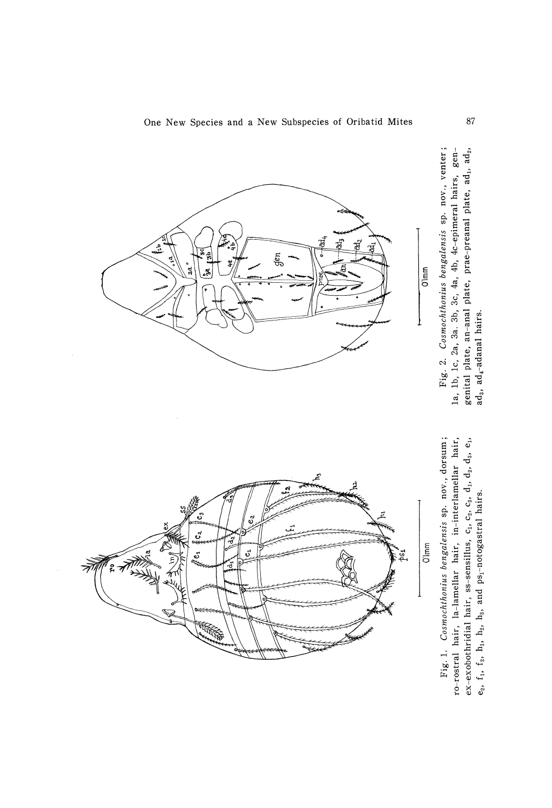

Fig. 1. Cosmochthonius bengalensis sp. nov., dorsum; ro-rostral hair, la-lamellar hair, in-interlamellar hair, ex-exobothridial hair, ss-sensillus,  $c_1$ ,  $c_2$ ,  $c_3$ ,  $d_1$ ,  $d_2$ ,  $d_3$ ,  $e_1$ , e<sub>2</sub>,  $f_1$ ,  $f_2$ ,  $h_1$ ,  $h_2$ ,  $h_3$ , and  $p_5$ -notogastral hairs.



 $\overline{\overline{\text{O}}\text{Im}\text{m}}$ 

खूँ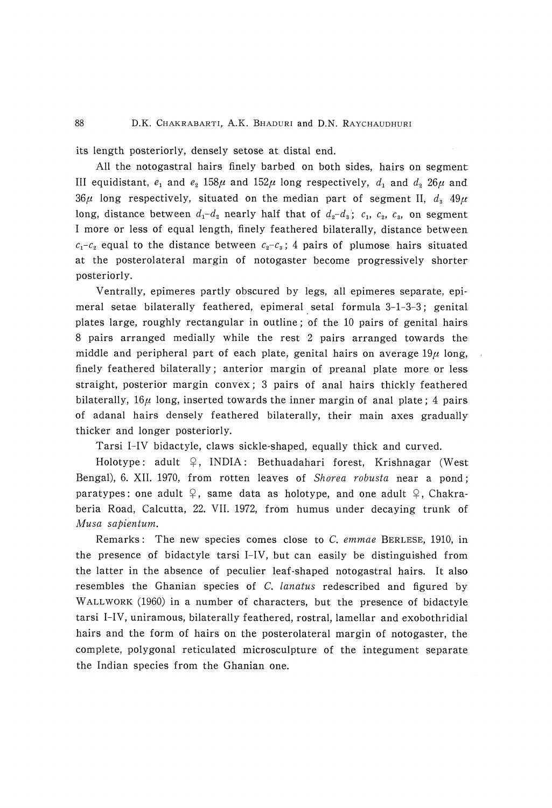its length posteriorly, densely setose at distal end.

 All the notogastral hairs finely barbed on both sides, hairs on segment III equidistant,  $e_1$  and  $e_2$  158 $\mu$  and 152 $\mu$  long respectively,  $d_1$  and  $d_2$  26 $\mu$  and.  $36\mu$  long respectively, situated on the median part of segment II,  $d_3$  49 $\mu$ long, distance between  $d_1 - d_2$  nearly half that of  $d_2 - d_3$ ;  $c_1$ ,  $c_2$ ,  $c_3$ , on segment I more or less of equal length, finely feathered bilaterally, distance between  $c_1-c_2$  equal to the distance between  $c_2-c_3$ ; 4 pairs of plumose hairs situated at the posterolateral margin of notogaster become progressively shorter posteriorly.

 Ventrally, epimeres partly obscured by legs, all epimeres separate, epi meral setae bilaterally feathered, epimeral setal formula 3-1-3-3; genital. plates large, roughly rectangular in outline; of the 10 pairs of genital hairs 8 pairs arranged medially while the rest 2 pairs arranged towards the middle and peripheral part of each plate, genital hairs on average  $19\mu$  long, finely feathered bilaterally ; anterior margin of preanal plate more or less straight, posterior margin convex; 3 pairs of anal hairs thickly feathered bilaterally,  $16\mu$  long, inserted towards the inner margin of anal plate; 4 pairs of adanal hairs densely feathered bilaterally, their main axes gradually thicker and longer posteriorly.

Tarsi I-IV bidactyle, claws sickle-shaped, equally thick and curved.

Holotype: adult  $\varphi$ , INDIA: Bethuadahari forest, Krishnagar (West Bengal), 6. XII. 1970, from rotten leaves of Shorea robusta near a pond;; paratypes: one adult  $\varphi$ , same data as holotype, and one adult  $\varphi$ , Chakraberia Road, Calcutta, 22. VII. 1972, from humus under decaying trunk of Musa sapientum.

Remarks: The new species comes close to C. emmae BERLESE, 1910, in the presence of bidactyle tarsi I-IV, but can easily be distinguished from the latter in the absence of peculier leaf-shaped notogastral hairs. It also resembles the Ghanian species of C. lanatus redescribed and figured by WALLWORK (1960) in a number of characters, but the presence of bidactyle tarsi I-IV, uniramous, bilaterally feathered, rostral, lamellar and exobothridial hairs and the form of hairs on the posterolateral margin of notogaster, the complete, polygonal reticulated microsculpture of the integument separate the Indian species from the Ghanian one.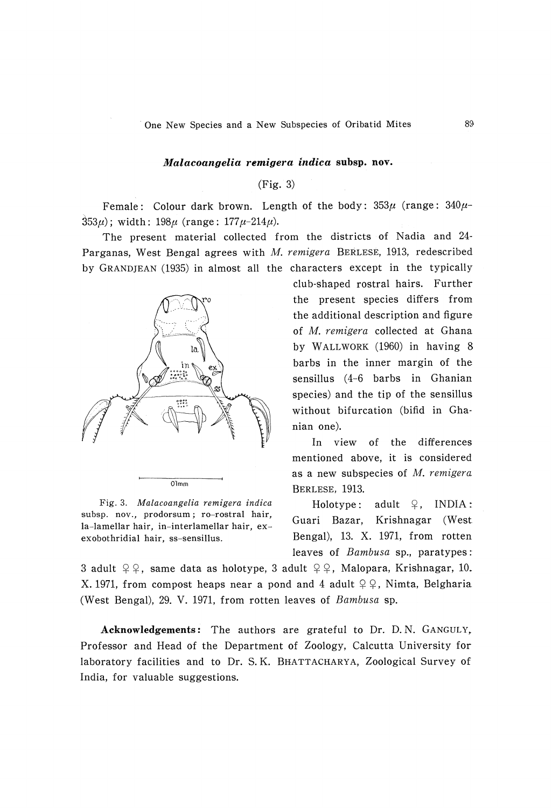### Malacoangelia remigera indica subsp. nov.

## (Fig. 3)

Female: Colour dark brown. Length of the body:  $353\mu$  (range:  $340\mu$ - $353\mu$ ; width:  $198\mu$  (range:  $177\mu$ -214 $\mu$ ).

 The present material collected from the districts of Nadia and 24- Parganas, West Bengal agrees with M. remigera BERLESE, 1913, redescribed by GRANDJEAN (1935) in almost all the characters except in the typically



 Fig. 3. Malacoangelia remigera indica subsp. nov., prodorsum ; ro-rostral hair, la-lamellar hair, in-interlamellar hair, exexobothridial hair, ss-sensillus.

club-shaped rostral hairs. Further the present species differs from the additional description and figure of M. remigera collected at Ghana by WALLWORK (1960) in having 8 barbs in the inner margin of the sensillus (4-6 barbs in Ghanian species) and the tip of the sensillus without bifurcation (bifid in Ghanian one).

 In view of the differences mentioned above, it is considered as a new subspecies of M. remigera BERLESE, 1913.

Holotype: adult  $\varphi$ , INDIA: Guari Bazar, Krishnagar (West. Bengal), 13. X. 1971, from rotten leaves of Bambusa sp., paratypes:

3 adult  $\varphi \varphi$ , same data as holotype, 3 adult  $\varphi \varphi$ , Malopara, Krishnagar, 10. X. 1971, from compost heaps near a pond and 4 adult  $\varphi \varphi$ , Nimta, Belgharia (West Bengal), 29. V. 1971, from rotten leaves of Bambusa sp.

Acknowledgements: The authors are grateful to Dr. D.N. GANGULY, Professor and Head of the Department of Zoology, Calcutta University for laboratory facilities and to Dr. S. K. BHATTACHARYA, Zoological Survey of India, for valuable suggestions.